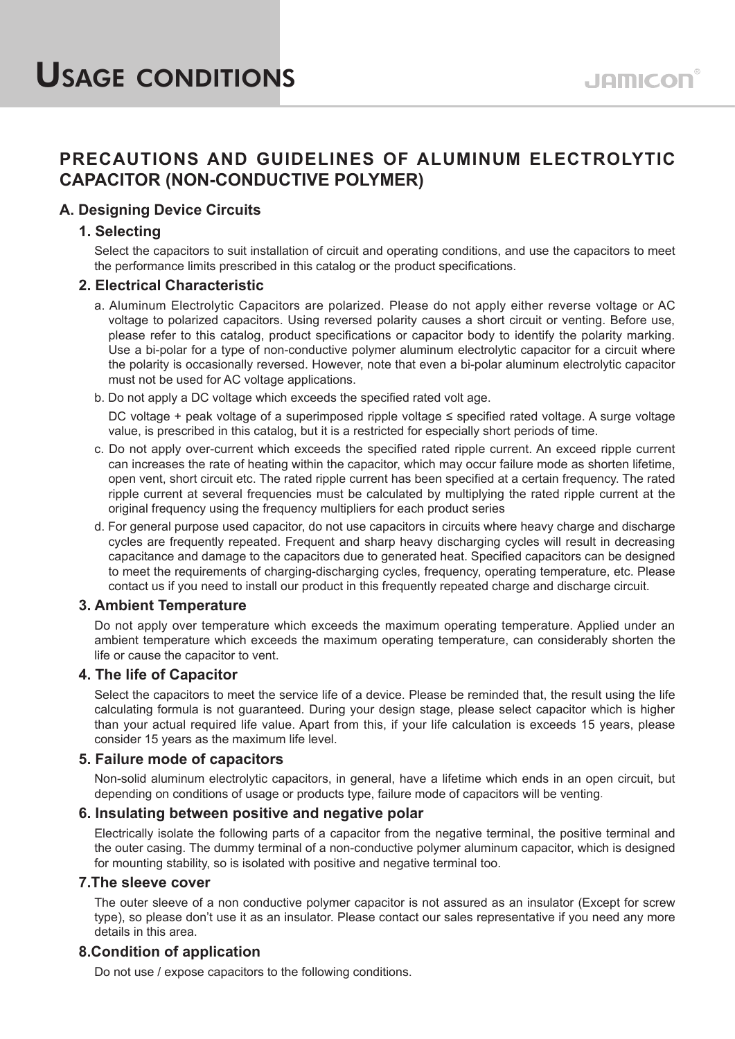# **PRECAUTIONS AND GUIDELINES OF ALUMINUM ELECTROLYTIC CAPACITOR (NON-CONDUCTIVE POLYMER)**

# **A. Designing Device Circuits**

# **1. Selecting**

Select the capacitors to suit installation of circuit and operating conditions, and use the capacitors to meet the performance limits prescribed in this catalog or the product specifications.

# **2. Electrical Characteristic**

- a. Aluminum Electrolytic Capacitors are polarized. Please do not apply either reverse voltage or AC voltage to polarized capacitors. Using reversed polarity causes a short circuit or venting. Before use, please refer to this catalog, product specifications or capacitor body to identify the polarity marking. Use a bi-polar for a type of non-conductive polymer aluminum electrolytic capacitor for a circuit where the polarity is occasionally reversed. However, note that even a bi-polar aluminum electrolytic capacitor must not be used for AC voltage applications.
- b. Do not apply a DC voltage which exceeds the specified rated volt age.

DC voltage + peak voltage of a superimposed ripple voltage ≤ specified rated voltage. A surge voltage value, is prescribed in this catalog, but it is a restricted for especially short periods of time.

- c. Do not apply over-current which exceeds the specified rated ripple current. An exceed ripple current can increases the rate of heating within the capacitor, which may occur failure mode as shorten lifetime, open vent, short circuit etc. The rated ripple current has been specified at a certain frequency. The rated ripple current at several frequencies must be calculated by multiplying the rated ripple current at the original frequency using the frequency multipliers for each product series
- d. For general purpose used capacitor, do not use capacitors in circuits where heavy charge and discharge cycles are frequently repeated. Frequent and sharp heavy discharging cycles will result in decreasing capacitance and damage to the capacitors due to generated heat. Specified capacitors can be designed to meet the requirements of charging-discharging cycles, frequency, operating temperature, etc. Please contact us if you need to install our product in this frequently repeated charge and discharge circuit.

## **3. Ambient Temperature**

Do not apply over temperature which exceeds the maximum operating temperature. Applied under an ambient temperature which exceeds the maximum operating temperature, can considerably shorten the life or cause the capacitor to vent.

## **4. The life of Capacitor**

Select the capacitors to meet the service life of a device. Please be reminded that, the result using the life calculating formula is not guaranteed. During your design stage, please select capacitor which is higher than your actual required life value. Apart from this, if your life calculation is exceeds 15 years, please consider 15 years as the maximum life level.

## **5. Failure mode of capacitors**

Non-solid aluminum electrolytic capacitors, in general, have a lifetime which ends in an open circuit, but depending on conditions of usage or products type, failure mode of capacitors will be venting.

## **6. Insulating between positive and negative polar**

Electrically isolate the following parts of a capacitor from the negative terminal, the positive terminal and the outer casing. The dummy terminal of a non-conductive polymer aluminum capacitor, which is designed for mounting stability, so is isolated with positive and negative terminal too.

### **7.The sleeve cover**

The outer sleeve of a non conductive polymer capacitor is not assured as an insulator (Except for screw type), so please don't use it as an insulator. Please contact our sales representative if you need any more details in this area.

# **8.Condition of application**

Do not use / expose capacitors to the following conditions.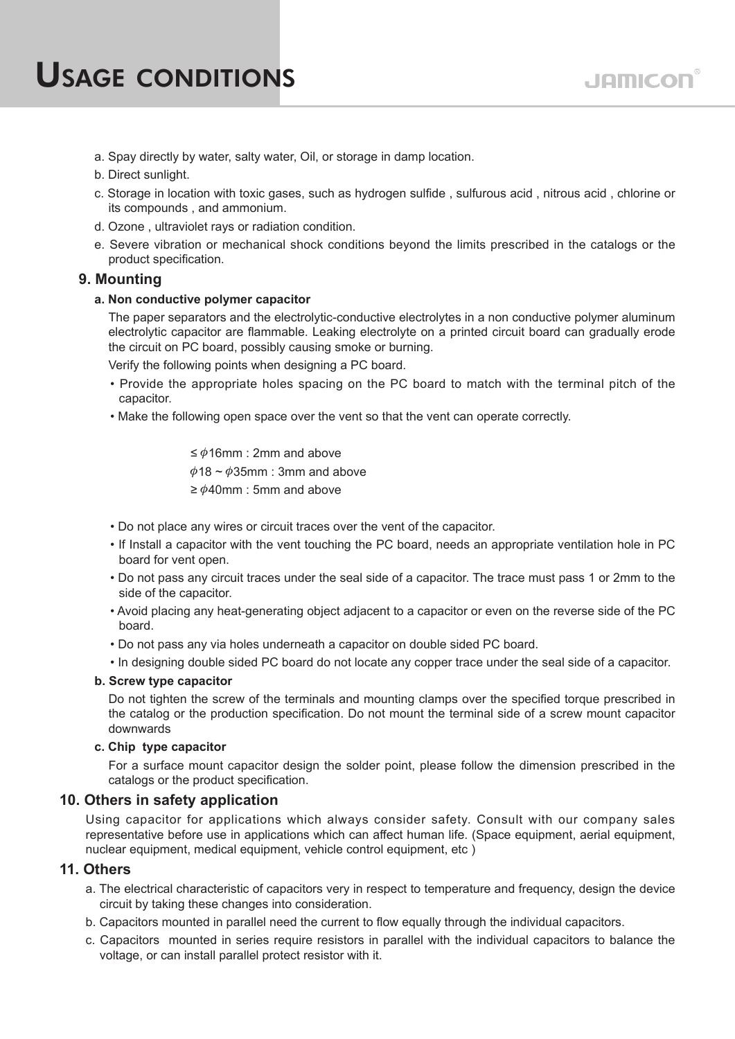- a. Spay directly by water, salty water, Oil, or storage in damp location.
- b. Direct sunlight.
- c. Storage in location with toxic gases, such as hydrogen sulfide , sulfurous acid , nitrous acid , chlorine or its compounds , and ammonium.
- d. Ozone , ultraviolet rays or radiation condition.
- e. Severe vibration or mechanical shock conditions beyond the limits prescribed in the catalogs or the product specification.

### **9. Mounting**

**a. Non conductive polymer capacitor**

The paper separators and the electrolytic-conductive electrolytes in a non conductive polymer aluminum electrolytic capacitor are flammable. Leaking electrolyte on a printed circuit board can gradually erode the circuit on PC board, possibly causing smoke or burning.

Verify the following points when designing a PC board.

- Provide the appropriate holes spacing on the PC board to match with the terminal pitch of the capacitor.
- Make the following open space over the vent so that the vent can operate correctly.

≤  $\phi$ 16mm : 2mm and above  $\phi$ 18 ~  $\phi$ 35mm : 3mm and above  $\geq \phi$ 40mm : 5mm and above

- Do not place any wires or circuit traces over the vent of the capacitor.
- If Install a capacitor with the vent touching the PC board, needs an appropriate ventilation hole in PC board for vent open.
- Do not pass any circuit traces under the seal side of a capacitor. The trace must pass 1 or 2mm to the side of the capacitor.
- Avoid placing any heat-generating object adjacent to a capacitor or even on the reverse side of the PC board.
- Do not pass any via holes underneath a capacitor on double sided PC board.
- In designing double sided PC board do not locate any copper trace under the seal side of a capacitor.

### **b. Screw type capacitor**

Do not tighten the screw of the terminals and mounting clamps over the specified torque prescribed in the catalog or the production specification. Do not mount the terminal side of a screw mount capacitor downwards

### **c. Chip type capacitor**

For a surface mount capacitor design the solder point, please follow the dimension prescribed in the catalogs or the product specification.

### **10. Others in safety application**

Using capacitor for applications which always consider safety. Consult with our company sales representative before use in applications which can affect human life. (Space equipment, aerial equipment, nuclear equipment, medical equipment, vehicle control equipment, etc )

### **11. Others**

- a. The electrical characteristic of capacitors very in respect to temperature and frequency, design the device circuit by taking these changes into consideration.
- b. Capacitors mounted in parallel need the current to flow equally through the individual capacitors.
- c. Capacitors mounted in series require resistors in parallel with the individual capacitors to balance the voltage, or can install parallel protect resistor with it.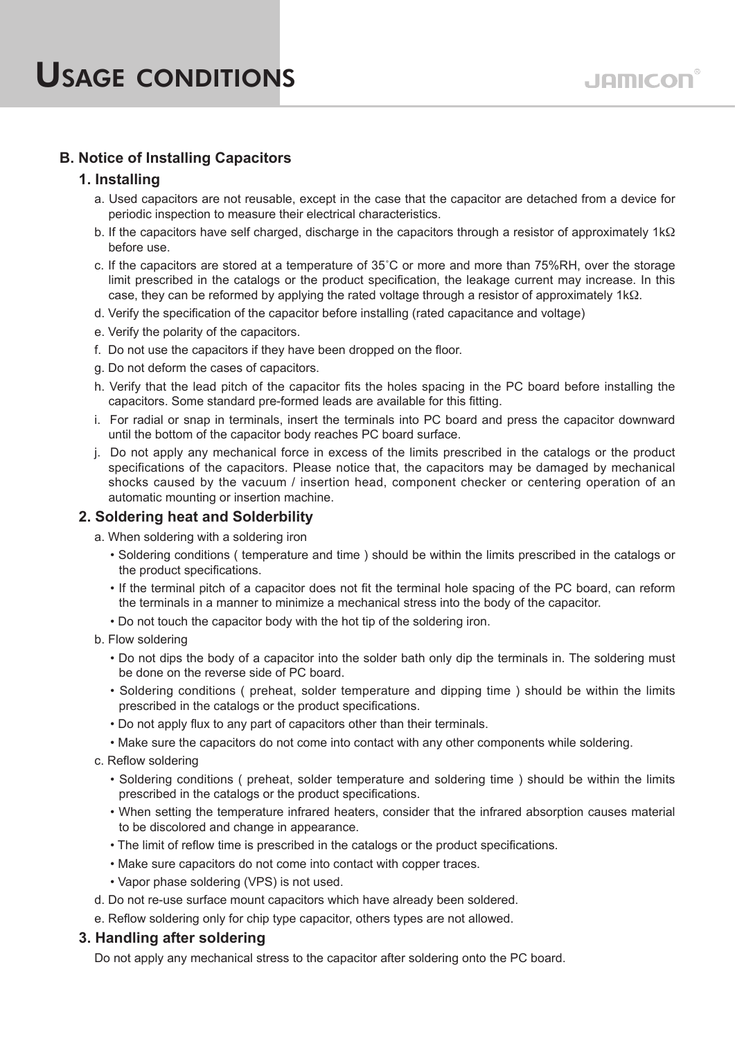# **B. Notice of Installing Capacitors**

### **1. Installing**

- a. Used capacitors are not reusable, except in the case that the capacitor are detached from a device for periodic inspection to measure their electrical characteristics.
- b. If the capacitors have self charged, discharge in the capacitors through a resistor of approximately  $1 \text{k}\Omega$ before use.
- c. If the capacitors are stored at a temperature of 35˚C or more and more than 75%RH, over the storage limit prescribed in the catalogs or the product specification, the leakage current may increase. In this case, they can be reformed by applying the rated voltage through a resistor of approximately  $1k\Omega$ .
- d. Verify the specification of the capacitor before installing (rated capacitance and voltage)
- e. Verify the polarity of the capacitors.
- f. Do not use the capacitors if they have been dropped on the floor.
- g. Do not deform the cases of capacitors.
- h. Verify that the lead pitch of the capacitor fits the holes spacing in the PC board before installing the capacitors. Some standard pre-formed leads are available for this fitting.
- i. For radial or snap in terminals, insert the terminals into PC board and press the capacitor downward until the bottom of the capacitor body reaches PC board surface.
- j. Do not apply any mechanical force in excess of the limits prescribed in the catalogs or the product specifications of the capacitors. Please notice that, the capacitors may be damaged by mechanical shocks caused by the vacuum / insertion head, component checker or centering operation of an automatic mounting or insertion machine.

### **2. Soldering heat and Solderbility**

- a. When soldering with a soldering iron
	- Soldering conditions ( temperature and time ) should be within the limits prescribed in the catalogs or the product specifications.
	- If the terminal pitch of a capacitor does not fit the terminal hole spacing of the PC board, can reform the terminals in a manner to minimize a mechanical stress into the body of the capacitor.
	- Do not touch the capacitor body with the hot tip of the soldering iron.
- b. Flow soldering
	- Do not dips the body of a capacitor into the solder bath only dip the terminals in. The soldering must be done on the reverse side of PC board.
	- Soldering conditions ( preheat, solder temperature and dipping time ) should be within the limits prescribed in the catalogs or the product specifications.
	- Do not apply flux to any part of capacitors other than their terminals.
	- Make sure the capacitors do not come into contact with any other components while soldering.
- c. Reflow soldering
	- Soldering conditions ( preheat, solder temperature and soldering time ) should be within the limits prescribed in the catalogs or the product specifications.
	- When setting the temperature infrared heaters, consider that the infrared absorption causes material to be discolored and change in appearance.
	- The limit of reflow time is prescribed in the catalogs or the product specifications.
	- Make sure capacitors do not come into contact with copper traces.
	- Vapor phase soldering (VPS) is not used.
- d. Do not re-use surface mount capacitors which have already been soldered.
- e. Reflow soldering only for chip type capacitor, others types are not allowed.

### **3. Handling after soldering**

Do not apply any mechanical stress to the capacitor after soldering onto the PC board.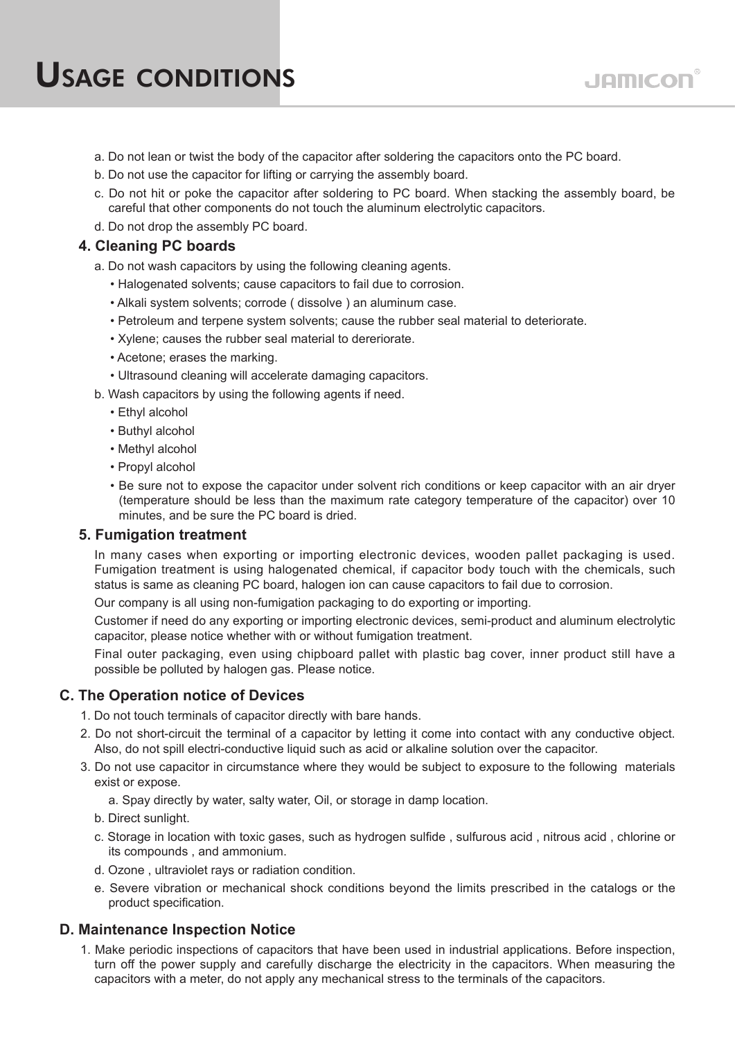- a. Do not lean or twist the body of the capacitor after soldering the capacitors onto the PC board.
- b. Do not use the capacitor for lifting or carrying the assembly board.
- c. Do not hit or poke the capacitor after soldering to PC board. When stacking the assembly board, be careful that other components do not touch the aluminum electrolytic capacitors.
- d. Do not drop the assembly PC board.

# **4. Cleaning PC boards**

- a. Do not wash capacitors by using the following cleaning agents.
	- Halogenated solvents; cause capacitors to fail due to corrosion.
	- Alkali system solvents; corrode ( dissolve ) an aluminum case.
	- Petroleum and terpene system solvents; cause the rubber seal material to deteriorate.
	- Xylene; causes the rubber seal material to dereriorate.
	- Acetone; erases the marking.
	- Ultrasound cleaning will accelerate damaging capacitors.
- b. Wash capacitors by using the following agents if need.
	- Ethyl alcohol
	- Buthyl alcohol
	- Methyl alcohol
	- Propyl alcohol
	- Be sure not to expose the capacitor under solvent rich conditions or keep capacitor with an air dryer (temperature should be less than the maximum rate category temperature of the capacitor) over 10 minutes, and be sure the PC board is dried.

### **5. Fumigation treatment**

In many cases when exporting or importing electronic devices, wooden pallet packaging is used. Fumigation treatment is using halogenated chemical, if capacitor body touch with the chemicals, such status is same as cleaning PC board, halogen ion can cause capacitors to fail due to corrosion.

Our company is all using non-fumigation packaging to do exporting or importing.

Customer if need do any exporting or importing electronic devices, semi-product and aluminum electrolytic capacitor, please notice whether with or without fumigation treatment.

Final outer packaging, even using chipboard pallet with plastic bag cover, inner product still have a possible be polluted by halogen gas. Please notice.

### **C. The Operation notice of Devices**

- 1. Do not touch terminals of capacitor directly with bare hands.
- 2. Do not short-circuit the terminal of a capacitor by letting it come into contact with any conductive object. Also, do not spill electri-conductive liquid such as acid or alkaline solution over the capacitor.
- 3. Do not use capacitor in circumstance where they would be subject to exposure to the following materials exist or expose.
	- a. Spay directly by water, salty water, Oil, or storage in damp location.
	- b. Direct sunlight.
	- c. Storage in location with toxic gases, such as hydrogen sulfide , sulfurous acid , nitrous acid , chlorine or its compounds , and ammonium.
	- d. Ozone , ultraviolet rays or radiation condition.
	- e. Severe vibration or mechanical shock conditions beyond the limits prescribed in the catalogs or the product specification.

## **D. Maintenance Inspection Notice**

1. Make periodic inspections of capacitors that have been used in industrial applications. Before inspection, turn off the power supply and carefully discharge the electricity in the capacitors. When measuring the capacitors with a meter, do not apply any mechanical stress to the terminals of the capacitors.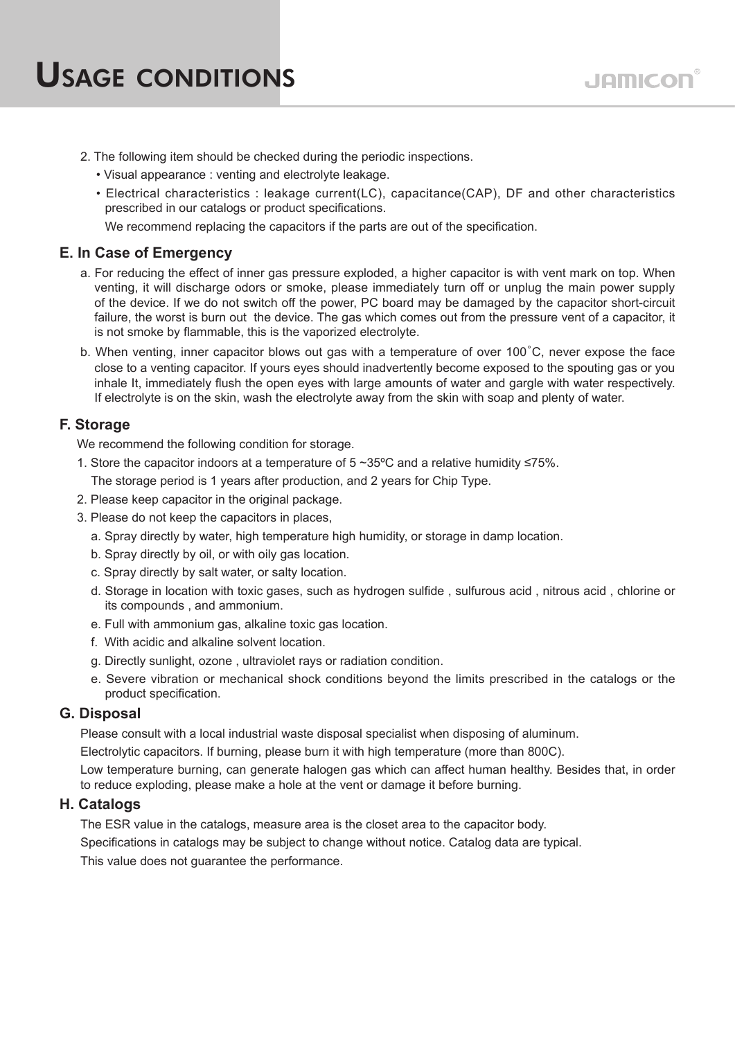- 2. The following item should be checked during the periodic inspections.
	- Visual appearance : venting and electrolyte leakage.
	- Electrical characteristics : leakage current(LC), capacitance(CAP), DF and other characteristics prescribed in our catalogs or product specifications.

We recommend replacing the capacitors if the parts are out of the specification.

# **E. In Case of Emergency**

- a. For reducing the effect of inner gas pressure exploded, a higher capacitor is with vent mark on top. When venting, it will discharge odors or smoke, please immediately turn off or unplug the main power supply of the device. If we do not switch off the power, PC board may be damaged by the capacitor short-circuit failure, the worst is burn out the device. The gas which comes out from the pressure vent of a capacitor, it is not smoke by flammable, this is the vaporized electrolyte.
- b. When venting, inner capacitor blows out gas with a temperature of over 100˚C, never expose the face close to a venting capacitor. If yours eyes should inadvertently become exposed to the spouting gas or you inhale It, immediately flush the open eyes with large amounts of water and gargle with water respectively. If electrolyte is on the skin, wash the electrolyte away from the skin with soap and plenty of water.

# **F. Storage**

We recommend the following condition for storage.

- 1. Store the capacitor indoors at a temperature of 5 ~35ºC and a relative humidity ≤75%.
	- The storage period is 1 years after production, and 2 years for Chip Type.
- 2. Please keep capacitor in the original package.
- 3. Please do not keep the capacitors in places,
	- a. Spray directly by water, high temperature high humidity, or storage in damp location.
	- b. Spray directly by oil, or with oily gas location.
	- c. Spray directly by salt water, or salty location.
	- d. Storage in location with toxic gases, such as hydrogen sulfide , sulfurous acid , nitrous acid , chlorine or its compounds , and ammonium.
	- e. Full with ammonium gas, alkaline toxic gas location.
	- f. With acidic and alkaline solvent location.
	- g. Directly sunlight, ozone , ultraviolet rays or radiation condition.
	- e. Severe vibration or mechanical shock conditions beyond the limits prescribed in the catalogs or the product specification.

## **G. Disposal**

Please consult with a local industrial waste disposal specialist when disposing of aluminum.

Electrolytic capacitors. If burning, please burn it with high temperature (more than 800C).

Low temperature burning, can generate halogen gas which can affect human healthy. Besides that, in order to reduce exploding, please make a hole at the vent or damage it before burning.

## **H. Catalogs**

The ESR value in the catalogs, measure area is the closet area to the capacitor body. Specifications in catalogs may be subject to change without notice. Catalog data are typical. This value does not quarantee the performance.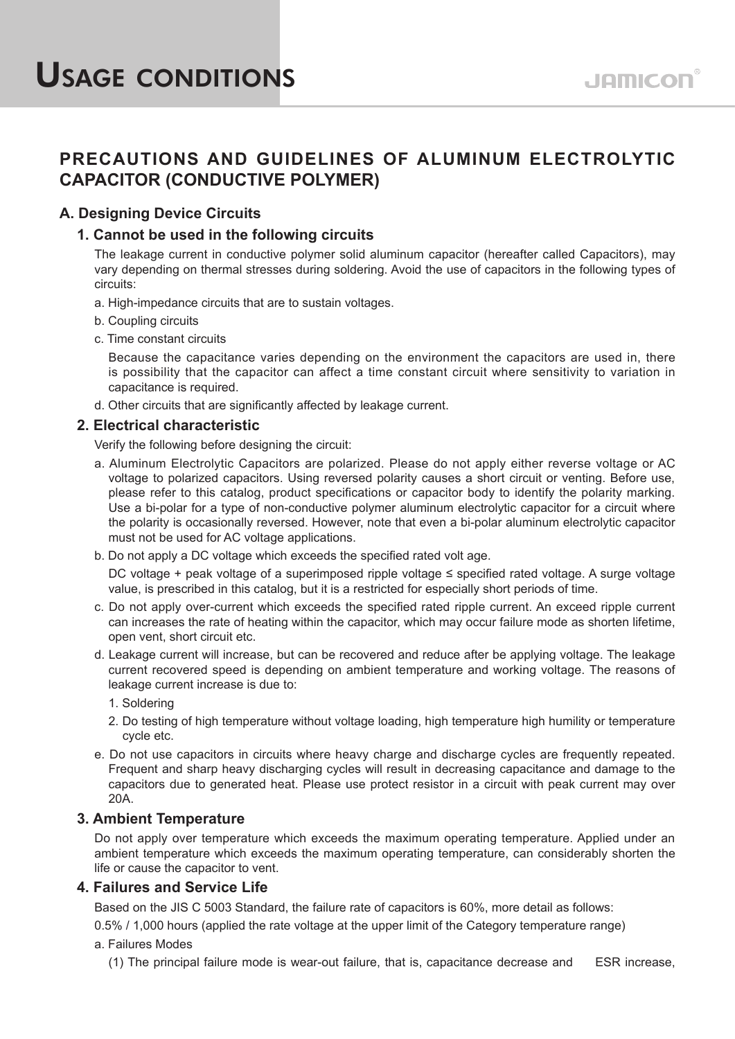# **PRECAUTIONS AND GUIDELINES OF ALUMINUM ELECTROLYTIC CAPACITOR (CONDUCTIVE POLYMER)**

# **A. Designing Device Circuits**

# **1. Cannot be used in the following circuits**

The leakage current in conductive polymer solid aluminum capacitor (hereafter called Capacitors), may vary depending on thermal stresses during soldering. Avoid the use of capacitors in the following types of circuits:

- a. High-impedance circuits that are to sustain voltages.
- b. Coupling circuits
- c. Time constant circuits

Because the capacitance varies depending on the environment the capacitors are used in, there is possibility that the capacitor can affect a time constant circuit where sensitivity to variation in capacitance is required.

d. Other circuits that are significantly affected by leakage current.

### **2. Electrical characteristic**

Verify the following before designing the circuit:

- a. Aluminum Electrolytic Capacitors are polarized. Please do not apply either reverse voltage or AC voltage to polarized capacitors. Using reversed polarity causes a short circuit or venting. Before use, please refer to this catalog, product specifications or capacitor body to identify the polarity marking. Use a bi-polar for a type of non-conductive polymer aluminum electrolytic capacitor for a circuit where the polarity is occasionally reversed. However, note that even a bi-polar aluminum electrolytic capacitor must not be used for AC voltage applications.
- b. Do not apply a DC voltage which exceeds the specified rated volt age.

DC voltage + peak voltage of a superimposed ripple voltage ≤ specified rated voltage. A surge voltage value, is prescribed in this catalog, but it is a restricted for especially short periods of time.

- c. Do not apply over-current which exceeds the specified rated ripple current. An exceed ripple current can increases the rate of heating within the capacitor, which may occur failure mode as shorten lifetime, open vent, short circuit etc.
- d. Leakage current will increase, but can be recovered and reduce after be applying voltage. The leakage current recovered speed is depending on ambient temperature and working voltage. The reasons of leakage current increase is due to:
	- 1. Soldering
	- 2. Do testing of high temperature without voltage loading, high temperature high humility or temperature cycle etc.
- e. Do not use capacitors in circuits where heavy charge and discharge cycles are frequently repeated. Frequent and sharp heavy discharging cycles will result in decreasing capacitance and damage to the capacitors due to generated heat. Please use protect resistor in a circuit with peak current may over 20A.

### **3. Ambient Temperature**

Do not apply over temperature which exceeds the maximum operating temperature. Applied under an ambient temperature which exceeds the maximum operating temperature, can considerably shorten the life or cause the capacitor to vent.

### **4. Failures and Service Life**

Based on the JIS C 5003 Standard, the failure rate of capacitors is 60%, more detail as follows:

0.5% / 1,000 hours (applied the rate voltage at the upper limit of the Category temperature range)

### a. Failures Modes

(1) The principal failure mode is wear-out failure, that is, capacitance decrease and ESR increase,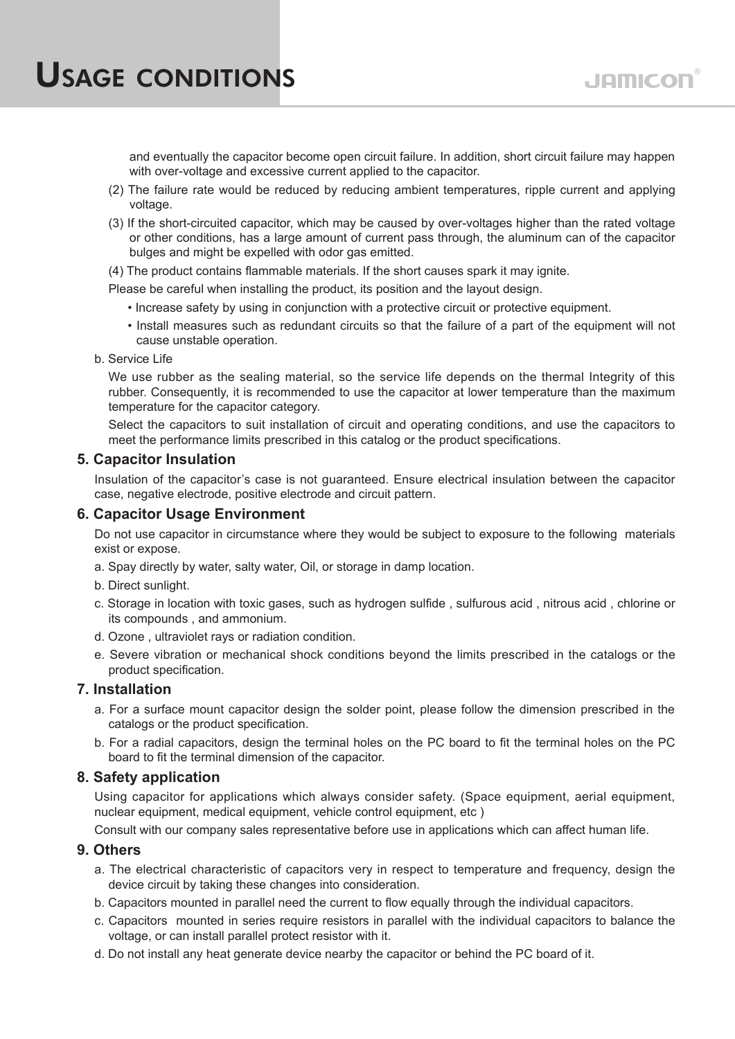and eventually the capacitor become open circuit failure. In addition, short circuit failure may happen with over-voltage and excessive current applied to the capacitor.

- (2) The failure rate would be reduced by reducing ambient temperatures, ripple current and applying voltage.
- (3) If the short-circuited capacitor, which may be caused by over-voltages higher than the rated voltage or other conditions, has a large amount of current pass through, the aluminum can of the capacitor bulges and might be expelled with odor gas emitted.
- (4) The product contains flammable materials. If the short causes spark it may ignite.

Please be careful when installing the product, its position and the layout design.

- Increase safety by using in conjunction with a protective circuit or protective equipment.
- Install measures such as redundant circuits so that the failure of a part of the equipment will not cause unstable operation.
- b. Service Life

We use rubber as the sealing material, so the service life depends on the thermal Integrity of this rubber. Consequently, it is recommended to use the capacitor at lower temperature than the maximum temperature for the capacitor category.

Select the capacitors to suit installation of circuit and operating conditions, and use the capacitors to meet the performance limits prescribed in this catalog or the product specifications.

### **5. Capacitor Insulation**

Insulation of the capacitor's case is not guaranteed. Ensure electrical insulation between the capacitor case, negative electrode, positive electrode and circuit pattern.

### **6. Capacitor Usage Environment**

Do not use capacitor in circumstance where they would be subject to exposure to the following materials exist or expose.

- a. Spay directly by water, salty water, Oil, or storage in damp location.
- b. Direct sunlight.
- c. Storage in location with toxic gases, such as hydrogen sulfide , sulfurous acid , nitrous acid , chlorine or its compounds , and ammonium.
- d. Ozone , ultraviolet rays or radiation condition.
- e. Severe vibration or mechanical shock conditions beyond the limits prescribed in the catalogs or the product specification.

### **7. Installation**

- a. For a surface mount capacitor design the solder point, please follow the dimension prescribed in the catalogs or the product specification.
- b. For a radial capacitors, design the terminal holes on the PC board to fit the terminal holes on the PC board to fit the terminal dimension of the capacitor.

### **8. Safety application**

Using capacitor for applications which always consider safety. (Space equipment, aerial equipment, nuclear equipment, medical equipment, vehicle control equipment, etc )

Consult with our company sales representative before use in applications which can affect human life.

### **9. Others**

- a. The electrical characteristic of capacitors very in respect to temperature and frequency, design the device circuit by taking these changes into consideration.
- b. Capacitors mounted in parallel need the current to flow equally through the individual capacitors.
- c. Capacitors mounted in series require resistors in parallel with the individual capacitors to balance the voltage, or can install parallel protect resistor with it.
- d. Do not install any heat generate device nearby the capacitor or behind the PC board of it.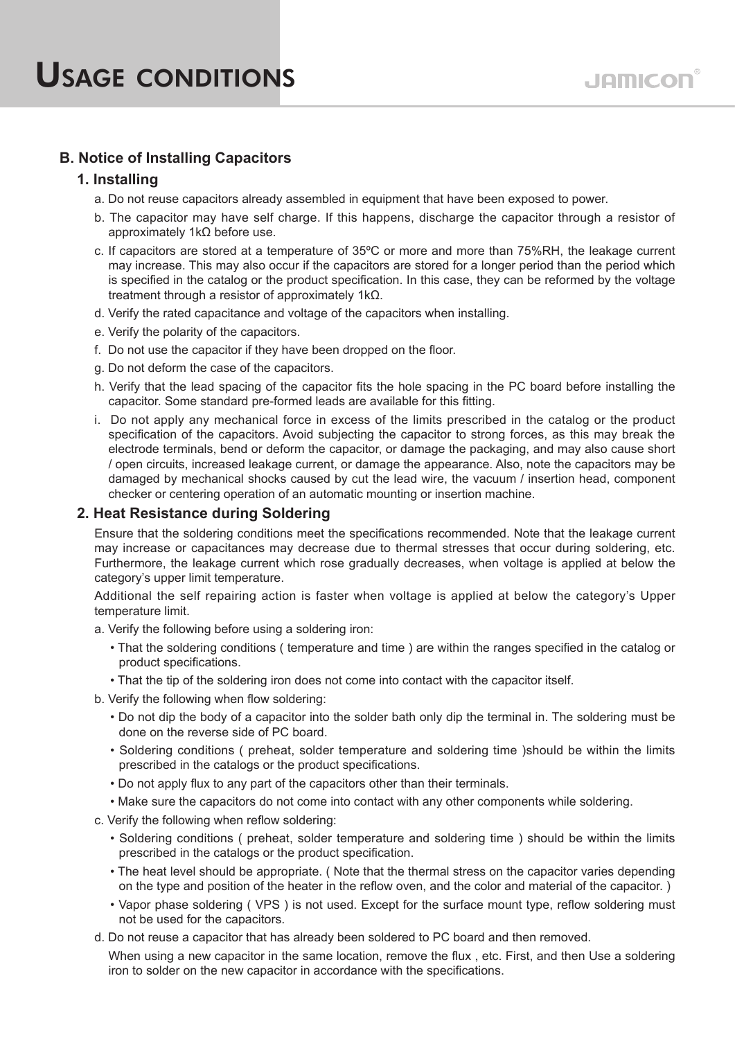# **B. Notice of Installing Capacitors**

## **1. Installing**

- a. Do not reuse capacitors already assembled in equipment that have been exposed to power.
- b. The capacitor may have self charge. If this happens, discharge the capacitor through a resistor of approximately 1kΩ before use.
- c. If capacitors are stored at a temperature of 35ºC or more and more than 75%RH, the leakage current may increase. This may also occur if the capacitors are stored for a longer period than the period which is specified in the catalog or the product specification. In this case, they can be reformed by the voltage treatment through a resistor of approximately 1kΩ.
- d. Verify the rated capacitance and voltage of the capacitors when installing.
- e. Verify the polarity of the capacitors.
- f. Do not use the capacitor if they have been dropped on the floor.
- g. Do not deform the case of the capacitors.
- h. Verify that the lead spacing of the capacitor fits the hole spacing in the PC board before installing the capacitor. Some standard pre-formed leads are available for this fitting.
- i. Do not apply any mechanical force in excess of the limits prescribed in the catalog or the product specification of the capacitors. Avoid subjecting the capacitor to strong forces, as this may break the electrode terminals, bend or deform the capacitor, or damage the packaging, and may also cause short / open circuits, increased leakage current, or damage the appearance. Also, note the capacitors may be damaged by mechanical shocks caused by cut the lead wire, the vacuum / insertion head, component checker or centering operation of an automatic mounting or insertion machine.

## **2. Heat Resistance during Soldering**

Ensure that the soldering conditions meet the specifications recommended. Note that the leakage current may increase or capacitances may decrease due to thermal stresses that occur during soldering, etc. Furthermore, the leakage current which rose gradually decreases, when voltage is applied at below the category's upper limit temperature.

Additional the self repairing action is faster when voltage is applied at below the category's Upper temperature limit.

- a. Verify the following before using a soldering iron:
	- That the soldering conditions ( temperature and time ) are within the ranges specified in the catalog or product specifications.
	- That the tip of the soldering iron does not come into contact with the capacitor itself.
- b. Verify the following when flow soldering:
	- Do not dip the body of a capacitor into the solder bath only dip the terminal in. The soldering must be done on the reverse side of PC board.
	- Soldering conditions ( preheat, solder temperature and soldering time )should be within the limits prescribed in the catalogs or the product specifications.
	- Do not apply flux to any part of the capacitors other than their terminals.
	- Make sure the capacitors do not come into contact with any other components while soldering.
- c. Verify the following when reflow soldering:
	- Soldering conditions ( preheat, solder temperature and soldering time ) should be within the limits prescribed in the catalogs or the product specification.
	- The heat level should be appropriate. ( Note that the thermal stress on the capacitor varies depending on the type and position of the heater in the reflow oven, and the color and material of the capacitor. )
	- Vapor phase soldering ( VPS ) is not used. Except for the surface mount type, reflow soldering must not be used for the capacitors.
- d. Do not reuse a capacitor that has already been soldered to PC board and then removed.

When using a new capacitor in the same location, remove the flux, etc. First, and then Use a soldering iron to solder on the new capacitor in accordance with the specifications.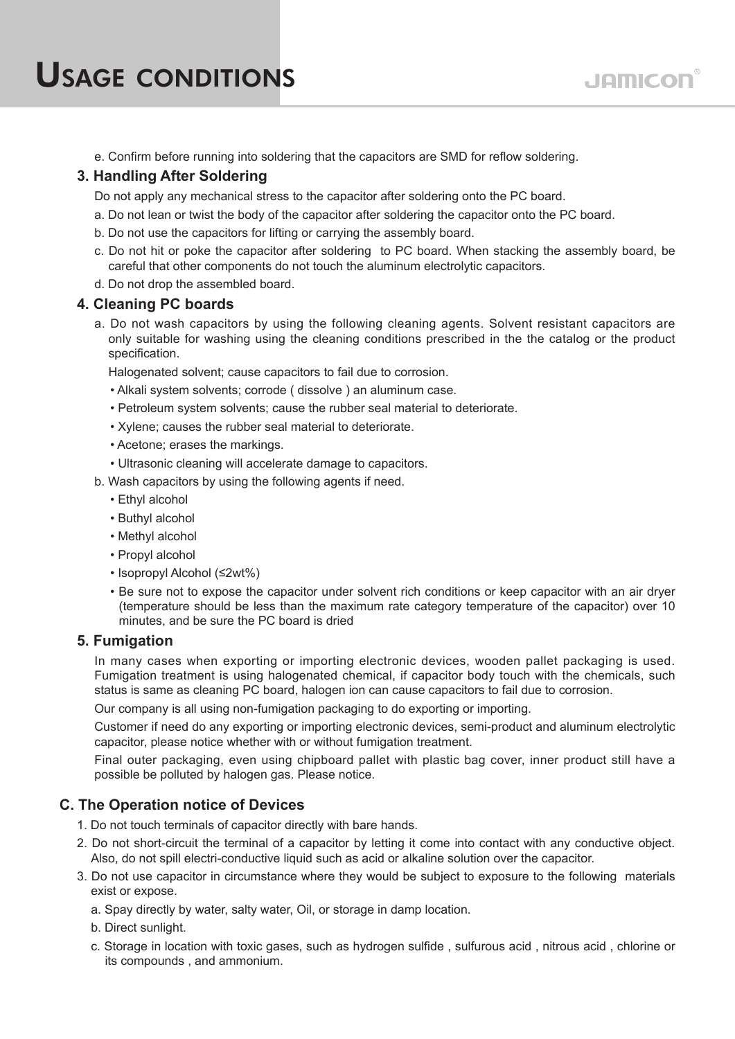e. Confirm before running into soldering that the capacitors are SMD for reflow soldering.

# **3. Handling After Soldering**

Do not apply any mechanical stress to the capacitor after soldering onto the PC board.

- a. Do not lean or twist the body of the capacitor after soldering the capacitor onto the PC board.
- b. Do not use the capacitors for lifting or carrying the assembly board.
- c. Do not hit or poke the capacitor after soldering to PC board. When stacking the assembly board, be careful that other components do not touch the aluminum electrolytic capacitors.
- d. Do not drop the assembled board.

### **4. Cleaning PC boards**

a. Do not wash capacitors by using the following cleaning agents. Solvent resistant capacitors are only suitable for washing using the cleaning conditions prescribed in the the catalog or the product specification.

Halogenated solvent; cause capacitors to fail due to corrosion.

- Alkali system solvents; corrode ( dissolve ) an aluminum case.
- Petroleum system solvents; cause the rubber seal material to deteriorate.
- Xylene; causes the rubber seal material to deteriorate.
- Acetone; erases the markings.
- Ultrasonic cleaning will accelerate damage to capacitors.
- b. Wash capacitors by using the following agents if need.
	- Ethyl alcohol
	- Buthyl alcohol
	- Methyl alcohol
	- Propyl alcohol
	- Isopropyl Alcohol (≤2wt%)
	- Be sure not to expose the capacitor under solvent rich conditions or keep capacitor with an air dryer (temperature should be less than the maximum rate category temperature of the capacitor) over 10 minutes, and be sure the PC board is dried

### **5. Fumigation**

In many cases when exporting or importing electronic devices, wooden pallet packaging is used. Fumigation treatment is using halogenated chemical, if capacitor body touch with the chemicals, such status is same as cleaning PC board, halogen ion can cause capacitors to fail due to corrosion.

Our company is all using non-fumigation packaging to do exporting or importing.

Customer if need do any exporting or importing electronic devices, semi-product and aluminum electrolytic capacitor, please notice whether with or without fumigation treatment.

Final outer packaging, even using chipboard pallet with plastic bag cover, inner product still have a possible be polluted by halogen gas. Please notice.

## **C. The Operation notice of Devices**

- 1. Do not touch terminals of capacitor directly with bare hands.
- 2. Do not short-circuit the terminal of a capacitor by letting it come into contact with any conductive object. Also, do not spill electri-conductive liquid such as acid or alkaline solution over the capacitor.
- 3. Do not use capacitor in circumstance where they would be subject to exposure to the following materials exist or expose.
	- a. Spay directly by water, salty water, Oil, or storage in damp location.
	- b. Direct sunlight.
	- c. Storage in location with toxic gases, such as hydrogen sulfide , sulfurous acid , nitrous acid , chlorine or its compounds , and ammonium.